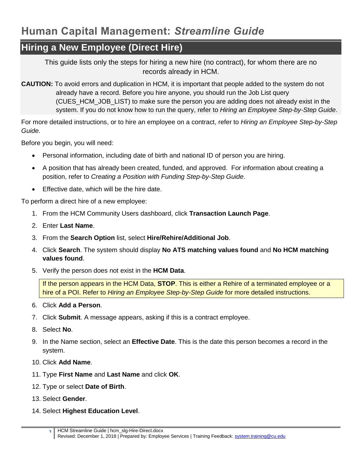## **Hiring a New Employee (Direct Hire)**

This guide lists only the steps for hiring a new hire (no contract), for whom there are no records already in HCM.

**CAUTION:** To avoid errors and duplication in HCM, it is important that people added to the system do not already have a record. Before you hire anyone, you should run the Job List query (CUES\_HCM\_JOB\_LIST) to make sure the person you are adding does not already exist in the system. If you do not know how to run the query, refer to *Hiring an Employee Step-by-Step Guide*.

For more detailed instructions, or to hire an employee on a contract, refer to *Hiring an Employee Step-by-Step Guide*.

Before you begin, you will need:

- Personal information, including date of birth and national ID of person you are hiring.
- A position that has already been created, funded, and approved. For information about creating a position, refer to *Creating a Position with Funding Step-by-Step Guide*.
- **Effective date, which will be the hire date.**

To perform a direct hire of a new employee:

- 1. From the HCM Community Users dashboard, click **Transaction Launch Page**.
- 2. Enter **Last Name**.
- 3. From the **Search Option** list, select **Hire/Rehire/Additional Job**.
- 4. Click **Search**. The system should display **No ATS matching values found** and **No HCM matching values found**.
- 5. Verify the person does not exist in the **HCM Data**.

If the person appears in the HCM Data, **STOP**. This is either a Rehire of a terminated employee or a hire of a POI. Refer to *Hiring an Employee Step-by-Step Guide* for more detailed instructions.

- 6. Click **Add a Person**.
- 7. Click **Submit**. A message appears, asking if this is a contract employee.
- 8. Select **No**.
- 9. In the Name section, select an **Effective Date**. This is the date this person becomes a record in the system.
- 10. Click **Add Name**.
- 11. Type **First Name** and **Last Name** and click **OK**.
- 12. Type or select **Date of Birth**.
- 13. Select **Gender**.
- 14. Select **Highest Education Level**.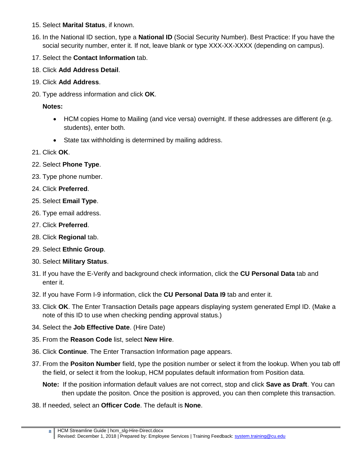- 15. Select **Marital Status**, if known.
- 16. In the National ID section, type a **National ID** (Social Security Number). Best Practice: If you have the social security number, enter it. If not, leave blank or type XXX-XX-XXXX (depending on campus).
- 17. Select the **Contact Information** tab.
- 18. Click **Add Address Detail**.
- 19. Click **Add Address**.
- 20. Type address information and click **OK**.

**Notes:** 

- HCM copies Home to Mailing (and vice versa) overnight. If these addresses are different (e.g. students), enter both.
- State tax withholding is determined by mailing address.
- 21. Click **OK**.
- 22. Select **Phone Type**.
- 23. Type phone number.
- 24. Click **Preferred**.
- 25. Select **Email Type**.
- 26. Type email address.
- 27. Click **Preferred**.
- 28. Click **Regional** tab.
- 29. Select **Ethnic Group**.
- 30. Select **Military Status**.
- 31. If you have the E-Verify and background check information, click the **CU Personal Data** tab and enter it.
- 32. If you have Form I-9 information, click the **CU Personal Data I9** tab and enter it.
- 33. Click **OK**. The Enter Transaction Details page appears displaying system generated Empl ID. (Make a note of this ID to use when checking pending approval status.)
- 34. Select the **Job Effective Date**. (Hire Date)
- 35. From the **Reason Code** list, select **New Hire**.
- 36. Click **Continue**. The Enter Transaction Information page appears.
- 37. From the **Positon Number** field, type the position number or select it from the lookup. When you tab off the field, or select it from the lookup, HCM populates default information from Position data.
	- **Note:** If the position information default values are not correct, stop and click **Save as Draft**. You can then update the positon. Once the position is approved, you can then complete this transaction.
- 38. If needed, select an **Officer Code**. The default is **None**.